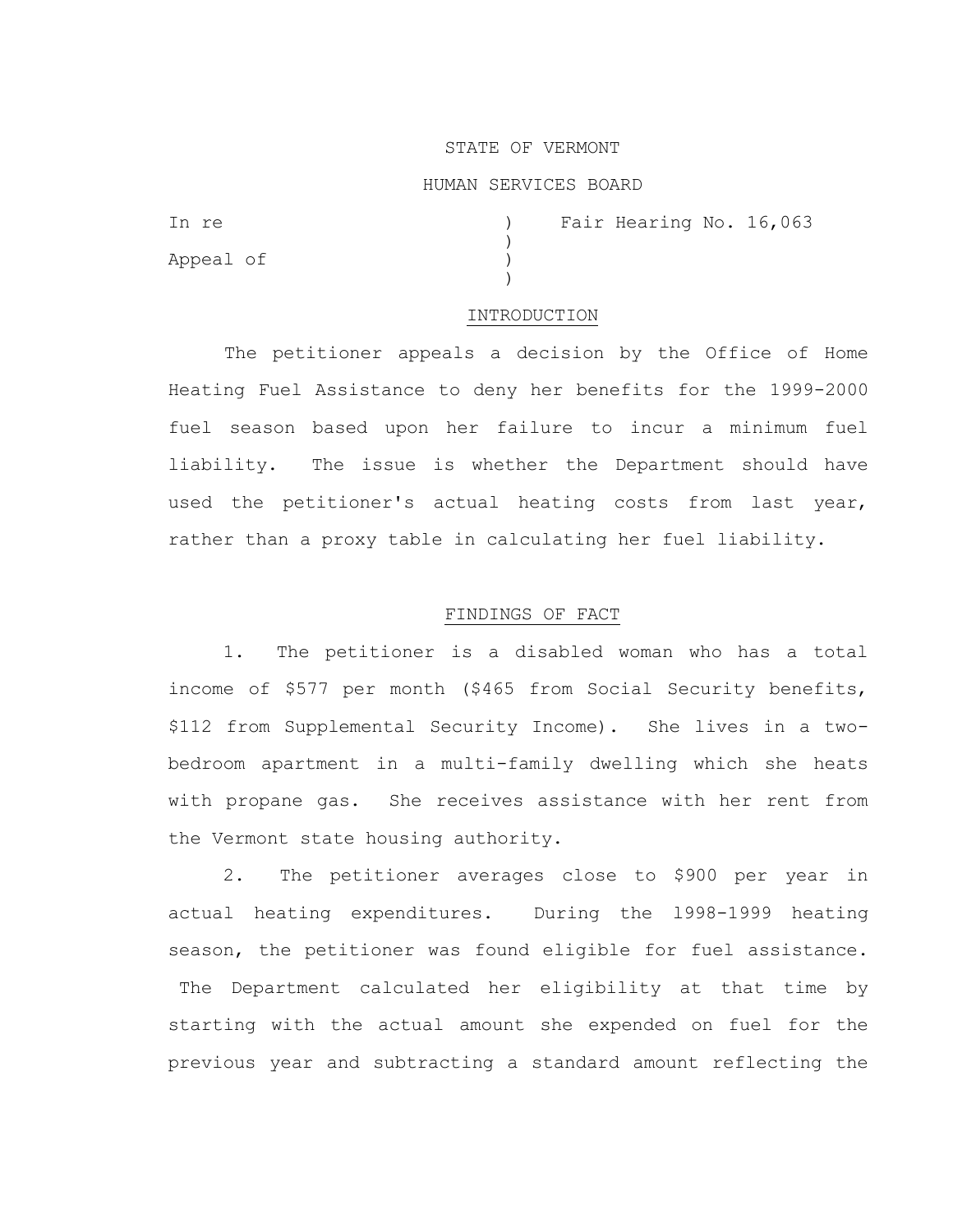#### STATE OF VERMONT

### HUMAN SERVICES BOARD

| In re     |  | Fair Hearing No. 16,063 |  |
|-----------|--|-------------------------|--|
|           |  |                         |  |
| Appeal of |  |                         |  |
|           |  |                         |  |

#### INTRODUCTION

The petitioner appeals a decision by the Office of Home Heating Fuel Assistance to deny her benefits for the 1999-2000 fuel season based upon her failure to incur a minimum fuel liability. The issue is whether the Department should have used the petitioner's actual heating costs from last year, rather than a proxy table in calculating her fuel liability.

## FINDINGS OF FACT

 1. The petitioner is a disabled woman who has a total income of \$577 per month (\$465 from Social Security benefits, \$112 from Supplemental Security Income). She lives in a twobedroom apartment in a multi-family dwelling which she heats with propane gas. She receives assistance with her rent from the Vermont state housing authority.

 2. The petitioner averages close to \$900 per year in actual heating expenditures. During the l998-1999 heating season, the petitioner was found eligible for fuel assistance.

The Department calculated her eligibility at that time by starting with the actual amount she expended on fuel for the previous year and subtracting a standard amount reflecting the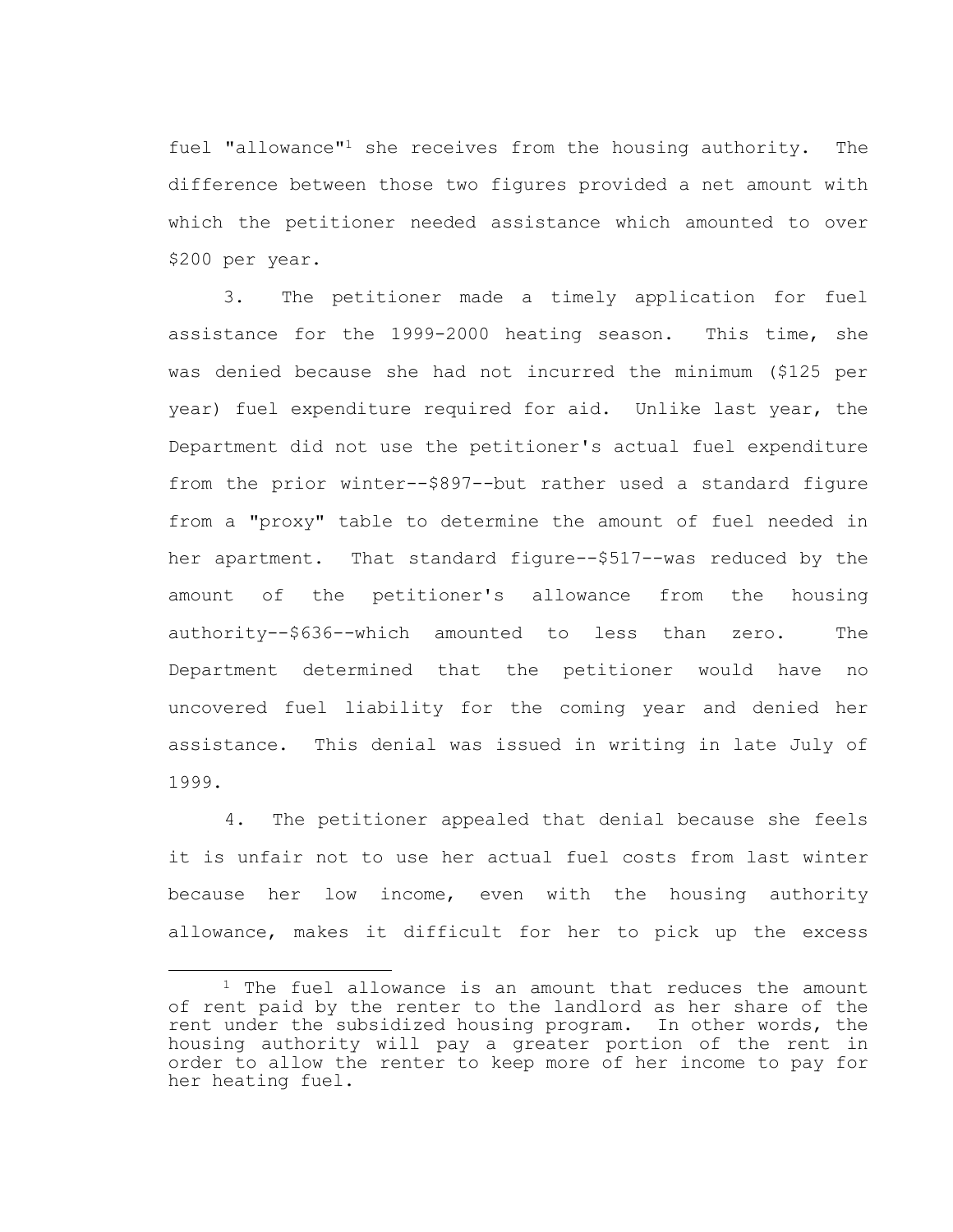fuel "allowance"<sup>1</sup> she receives from the housing authority. The difference between those two figures provided a net amount with which the petitioner needed assistance which amounted to over \$200 per year.

 3. The petitioner made a timely application for fuel assistance for the 1999-2000 heating season. This time, she was denied because she had not incurred the minimum (\$125 per year) fuel expenditure required for aid. Unlike last year, the Department did not use the petitioner's actual fuel expenditure from the prior winter--\$897--but rather used a standard figure from a "proxy" table to determine the amount of fuel needed in her apartment. That standard figure--\$517--was reduced by the amount of the petitioner's allowance from the housing authority--\$636--which amounted to less than zero. The Department determined that the petitioner would have no uncovered fuel liability for the coming year and denied her assistance. This denial was issued in writing in late July of 1999.

4. The petitioner appealed that denial because she feels it is unfair not to use her actual fuel costs from last winter because her low income, even with the housing authority allowance, makes it difficult for her to pick up the excess

<sup>&</sup>lt;sup>1</sup> The fuel allowance is an amount that reduces the amount of rent paid by the renter to the landlord as her share of the rent under the subsidized housing program. In other words, the housing authority will pay a greater portion of the rent in order to allow the renter to keep more of her income to pay for her heating fuel.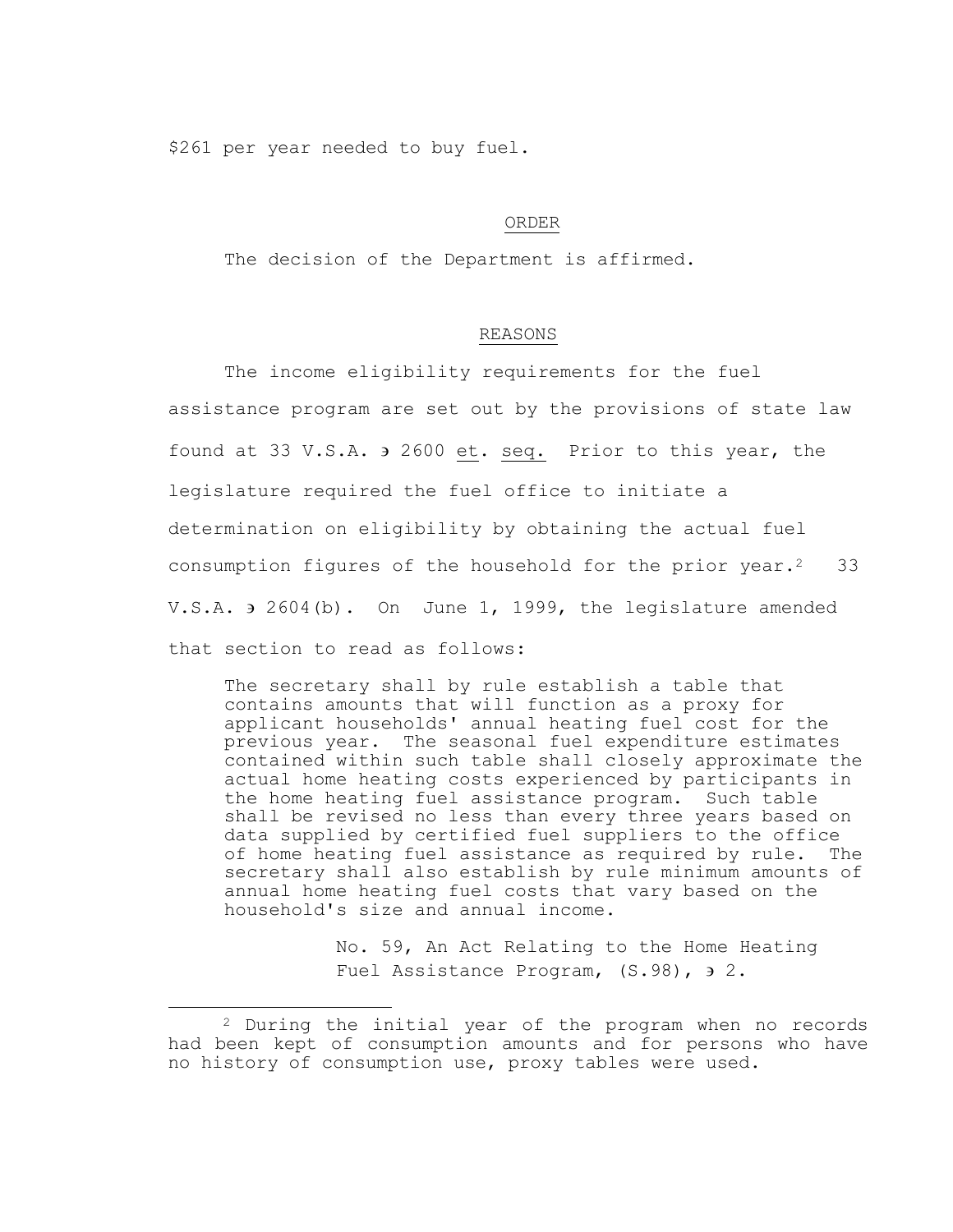\$261 per year needed to buy fuel.

# ORDER

The decision of the Department is affirmed.

## REASONS

The income eligibility requirements for the fuel assistance program are set out by the provisions of state law found at 33 V.S.A. 2600 et. seq. Prior to this year, the legislature required the fuel office to initiate a determination on eligibility by obtaining the actual fuel consumption figures of the household for the prior year.<sup>2</sup> 33 V.S.A.  $\theta$  2604(b). On June 1, 1999, the legislature amended that section to read as follows:

The secretary shall by rule establish a table that contains amounts that will function as a proxy for applicant households' annual heating fuel cost for the previous year. The seasonal fuel expenditure estimates contained within such table shall closely approximate the actual home heating costs experienced by participants in the home heating fuel assistance program. Such table shall be revised no less than every three years based on data supplied by certified fuel suppliers to the office of home heating fuel assistance as required by rule. The secretary shall also establish by rule minimum amounts of annual home heating fuel costs that vary based on the household's size and annual income.

> No. 59, An Act Relating to the Home Heating Fuel Assistance Program, (S.98),  $\theta$  2.

<sup>2</sup> During the initial year of the program when no records had been kept of consumption amounts and for persons who have no history of consumption use, proxy tables were used.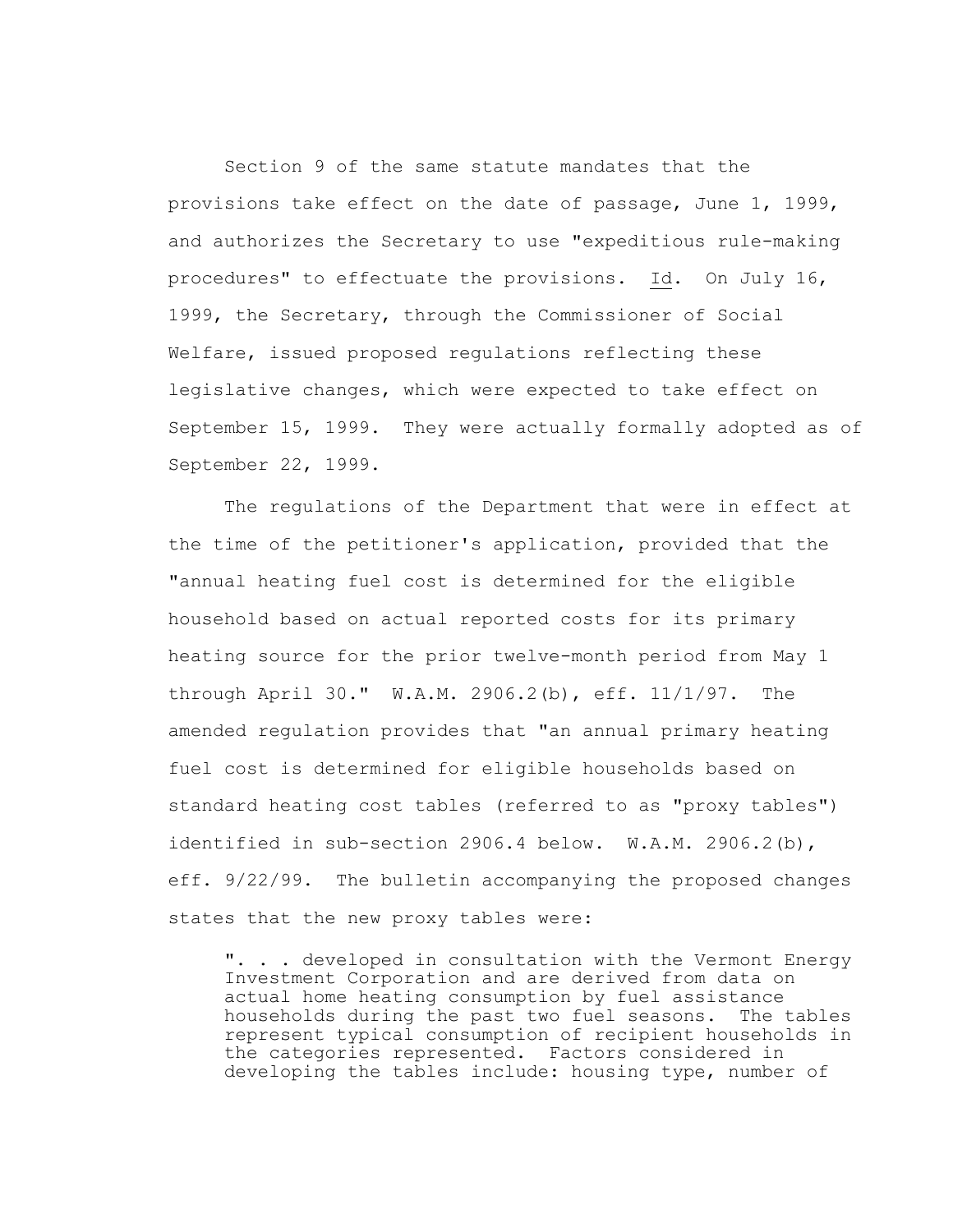Section 9 of the same statute mandates that the provisions take effect on the date of passage, June 1, 1999, and authorizes the Secretary to use "expeditious rule-making procedures" to effectuate the provisions. Id. On July 16, 1999, the Secretary, through the Commissioner of Social Welfare, issued proposed regulations reflecting these legislative changes, which were expected to take effect on September 15, 1999. They were actually formally adopted as of September 22, 1999.

 The regulations of the Department that were in effect at the time of the petitioner's application, provided that the "annual heating fuel cost is determined for the eligible household based on actual reported costs for its primary heating source for the prior twelve-month period from May 1 through April 30." W.A.M. 2906.2(b), eff. 11/1/97. The amended regulation provides that "an annual primary heating fuel cost is determined for eligible households based on standard heating cost tables (referred to as "proxy tables") identified in sub-section 2906.4 below. W.A.M. 2906.2(b), eff. 9/22/99. The bulletin accompanying the proposed changes states that the new proxy tables were:

". . . developed in consultation with the Vermont Energy Investment Corporation and are derived from data on actual home heating consumption by fuel assistance households during the past two fuel seasons. The tables represent typical consumption of recipient households in the categories represented. Factors considered in developing the tables include: housing type, number of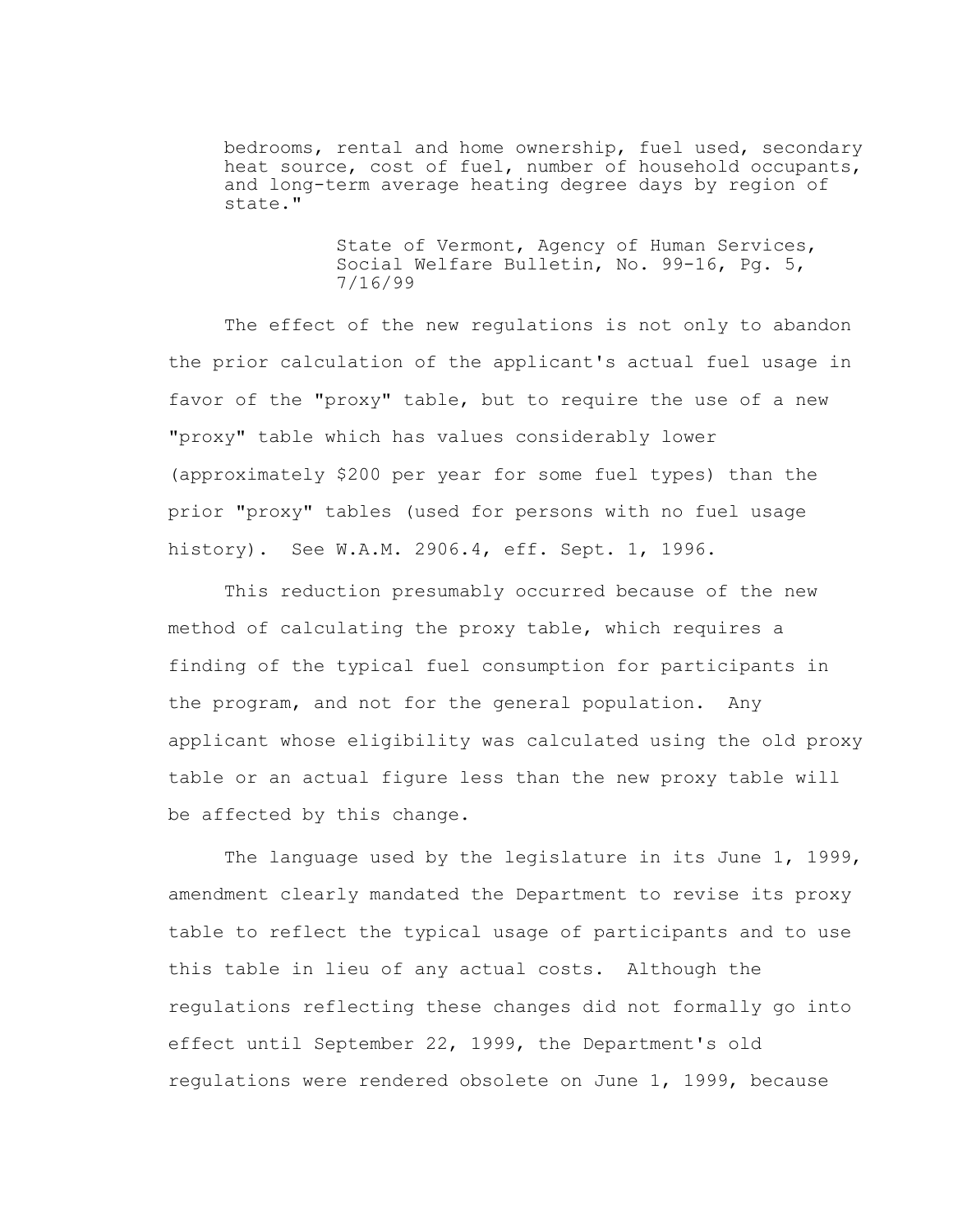bedrooms, rental and home ownership, fuel used, secondary heat source, cost of fuel, number of household occupants, and long-term average heating degree days by region of state."

> State of Vermont, Agency of Human Services, Social Welfare Bulletin, No. 99-16, Pg. 5, 7/16/99

 The effect of the new regulations is not only to abandon the prior calculation of the applicant's actual fuel usage in favor of the "proxy" table, but to require the use of a new "proxy" table which has values considerably lower (approximately \$200 per year for some fuel types) than the prior "proxy" tables (used for persons with no fuel usage history). See W.A.M. 2906.4, eff. Sept. 1, 1996.

 This reduction presumably occurred because of the new method of calculating the proxy table, which requires a finding of the typical fuel consumption for participants in the program, and not for the general population. Any applicant whose eligibility was calculated using the old proxy table or an actual figure less than the new proxy table will be affected by this change.

 The language used by the legislature in its June 1, 1999, amendment clearly mandated the Department to revise its proxy table to reflect the typical usage of participants and to use this table in lieu of any actual costs. Although the regulations reflecting these changes did not formally go into effect until September 22, 1999, the Department's old regulations were rendered obsolete on June 1, 1999, because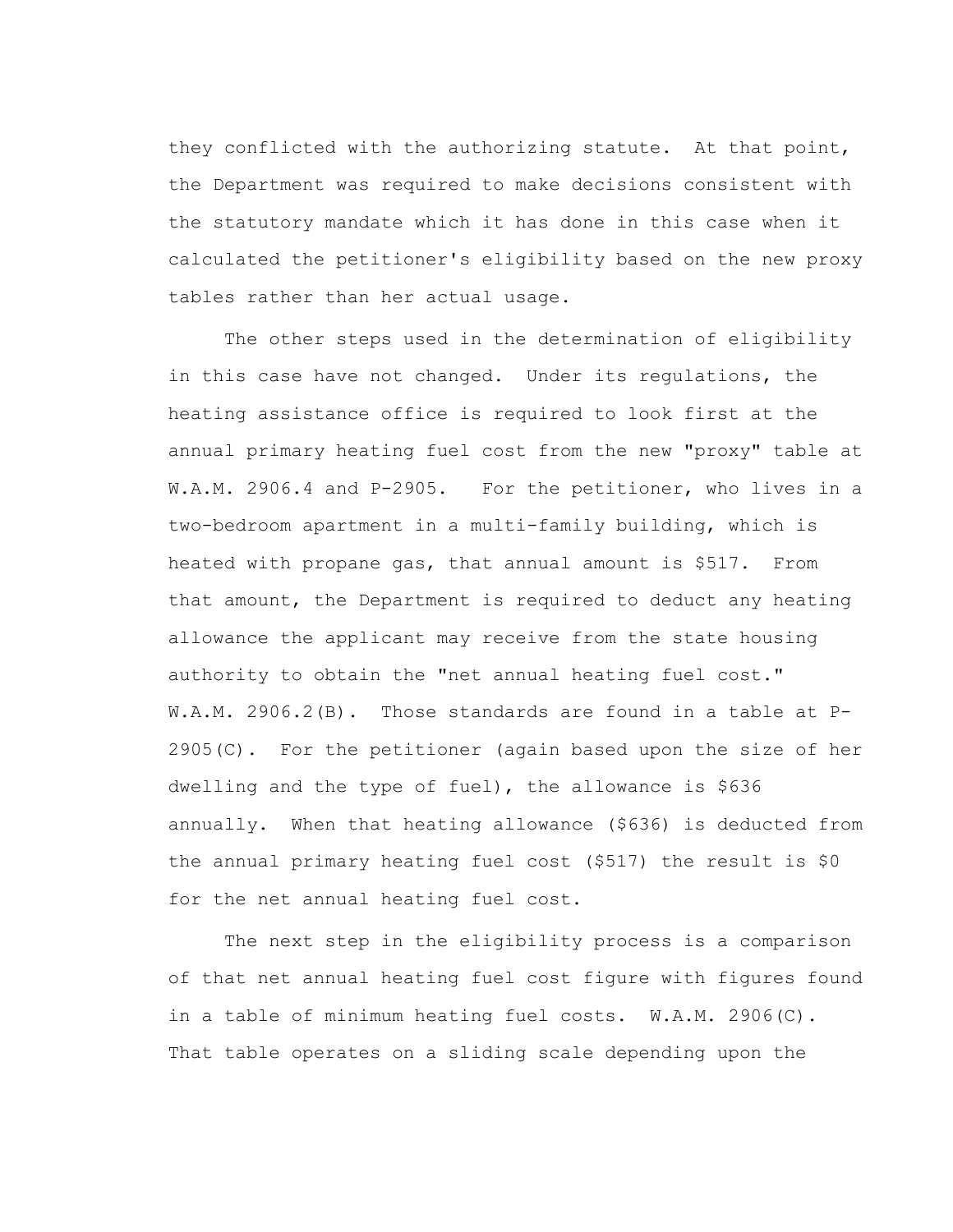they conflicted with the authorizing statute. At that point, the Department was required to make decisions consistent with the statutory mandate which it has done in this case when it calculated the petitioner's eligibility based on the new proxy tables rather than her actual usage.

 The other steps used in the determination of eligibility in this case have not changed. Under its regulations, the heating assistance office is required to look first at the annual primary heating fuel cost from the new "proxy" table at W.A.M. 2906.4 and P-2905. For the petitioner, who lives in a two-bedroom apartment in a multi-family building, which is heated with propane gas, that annual amount is \$517. From that amount, the Department is required to deduct any heating allowance the applicant may receive from the state housing authority to obtain the "net annual heating fuel cost." W.A.M. 2906.2(B). Those standards are found in a table at P- $2905(C)$ . For the petitioner (again based upon the size of her dwelling and the type of fuel), the allowance is \$636 annually. When that heating allowance (\$636) is deducted from the annual primary heating fuel cost (\$517) the result is \$0 for the net annual heating fuel cost.

 The next step in the eligibility process is a comparison of that net annual heating fuel cost figure with figures found in a table of minimum heating fuel costs. W.A.M. 2906(C). That table operates on a sliding scale depending upon the